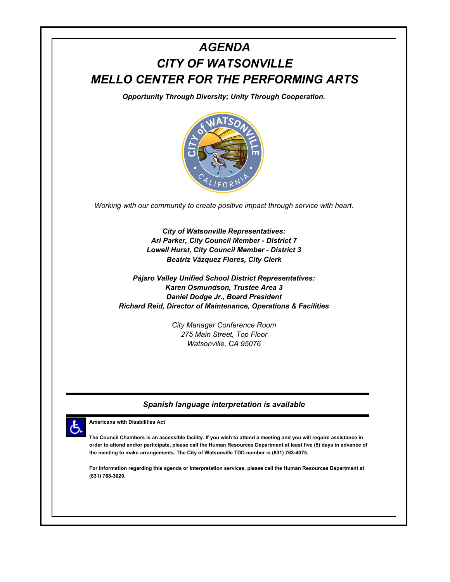## *AGENDA CITY OF WATSONVILLE MELLO CENTER FOR THE PERFORMING ARTS*

*Opportunity Through Diversity; Unity Through Cooperation.*



*Working with our community to create positive impact through service with heart.*

*City of Watsonville Representatives: Ari Parker, City Council Member - District 7 Lowell Hurst, City Council Member - District 3 Beatriz Vázquez Flores, City Clerk*

*Pájaro Valley Unified School District Representatives: Karen Osmundson, Trustee Area 3 Daniel Dodge Jr., Board President Richard Reid, Director of Maintenance, Operations & Facilities*

> *City Manager Conference Room 275 Main Street, Top Floor Watsonville, CA 95076*

## *Spanish language interpretation is available*



**Americans with Disabilities Act**

**The Council Chambers is an accessible facility. If you wish to attend a meeting and you will require assistance in order to attend and/or participate, please call the Human Resources Department at least five (5) days in advance of the meeting to make arrangements. The City of Watsonville TDD number is (831) 763-4075.**

**For information regarding this agenda or interpretation services, please call the Human Resources Department at (831) 768-3020.**